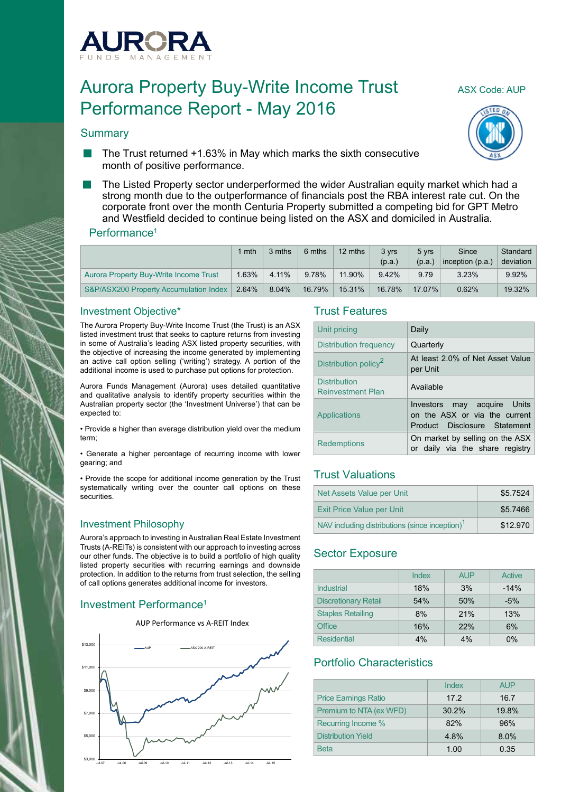

# Aurora Property Buy-Write Income Trust ASX Code: AUP Performance Report - May 2016

## **Summary**





- The Trust returned +1.63% in May which marks the sixth consecutive **Tall** month of positive performance.
- The Listed Property sector underperformed the wider Australian equity market which had a strong month due to the outperformance of financials post the RBA interest rate cut. On the corporate front over the month Centuria Property submitted a competing bid for GPT Metro and Westfield decided to continue being listed on the ASX and domiciled in Australia.

#### Performance<sup>1</sup>

|                                        | mth   | 3 mths | 6 mths | 12 mths | 3 yrs<br>(p.a.) | 5 vrs<br>(p.a.) | Since<br>inception (p.a.) | Standard<br>deviation |
|----------------------------------------|-------|--------|--------|---------|-----------------|-----------------|---------------------------|-----------------------|
| Aurora Property Buy-Write Income Trust | 1.63% | 4.11%  | 9.78%  | 11.90%  | 9.42%           | 9.79            | 3.23%                     | $9.92\%$              |
| S&P/ASX200 Property Accumulation Index | 2.64% | 8.04%  | 16.79% | 15.31%  | 16.78%          | 17.07%          | 0.62%                     | $19.32\%$             |

#### Investment Objective\*

The Aurora Property Buy-Write Income Trust (the Trust) is an ASX listed investment trust that seeks to capture returns from investing in some of Australia's leading ASX listed property securities, with the objective of increasing the income generated by implementing an active call option selling ('writing') strategy. A portion of the additional income is used to purchase put options for protection.

Aurora Funds Management (Aurora) uses detailed quantitative and qualitative analysis to identify property securities within the Australian property sector (the 'Investment Universe') that can be expected to:

• Provide a higher than average distribution yield over the medium term;

• Generate a higher percentage of recurring income with lower gearing; and

• Provide the scope for additional income generation by the Trust systematically writing over the counter call options on these **securities** 

#### Investment Philosophy

Aurora's approach to investing in Australian Real Estate Investment Trusts (A-REITs) is consistent with our approach to investing across our other funds. The objective is to build a portfolio of high quality listed property securities with recurring earnings and downside protection. In addition to the returns from trust selection, the selling of call options generates additional income for investors.

## Investment Performance1



#### Trust Features

| Unit pricing                                    | Daily                                                                                        |
|-------------------------------------------------|----------------------------------------------------------------------------------------------|
| <b>Distribution frequency</b>                   | Quarterly                                                                                    |
| Distribution policy <sup>2</sup>                | At least 2.0% of Net Asset Value<br>per Unit                                                 |
| <b>Distribution</b><br><b>Reinvestment Plan</b> | Available                                                                                    |
| Applications                                    | Investors may acquire Units<br>on the ASX or via the current<br>Product Disclosure Statement |
| <b>Redemptions</b>                              | On market by selling on the ASX<br>or daily via the share registry                           |

## Trust Valuations

| Net Assets Value per Unit                                  | \$5.7524 |
|------------------------------------------------------------|----------|
| <b>Exit Price Value per Unit</b>                           | \$5.7466 |
| NAV including distributions (since inception) <sup>1</sup> | \$12,970 |

## Sector Exposure

|                             | Index | <b>AUP</b> | Active |
|-----------------------------|-------|------------|--------|
| Industrial                  | 18%   | 3%         | $-14%$ |
| <b>Discretionary Retail</b> | 54%   | 50%        | $-5%$  |
| <b>Staples Retailing</b>    | 8%    | 21%        | 13%    |
| <b>Office</b>               | 16%   | 22%        | 6%     |
| <b>Residential</b>          | 4%    | 4%         | $0\%$  |

## Portfolio Characteristics

|                             | Index | <b>AUP</b> |
|-----------------------------|-------|------------|
| <b>Price Earnings Ratio</b> | 17.2  | 16.7       |
| Premium to NTA (ex WFD)     | 30.2% | 19.8%      |
| Recurring Income %          | 82%   | 96%        |
| <b>Distribution Yield</b>   | 4.8%  | 8.0%       |
| <b>Beta</b>                 | 1.00  | 0.35       |